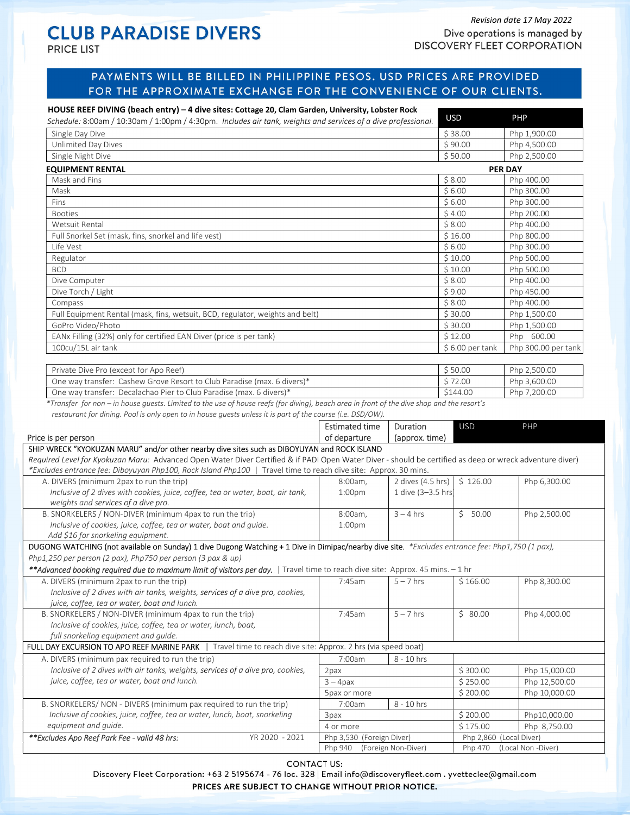**PRICE LIST** 

## Revision date 17 May 2022<br>
CLUB PARADISE DIVERS<br>
Dive operations is managed to Dive operations is managed by **DISCOVERY FLEET CORPORATION**

# PAYMENTS WILL BE BILLED IN PHILIPPINE PESOS. USD PRICES ARE PROVIDED FOR THE APPROXIMATE EXCHANGE FOR THE CONVENIENCE OF OUR CLIENTS.

| HOUSE REEF DIVING (beach entry) - 4 dive sites: Cottage 20, Clam Garden, University, Lobster Rock<br>Schedule: 8:00am / 10:30am / 1:00pm / 4:30pm. Includes air tank, weights and services of a dive professional.                                                                                                                                                                                                                                                                                                       |                                                                         |                    | <b>USD</b>                          | PHP                                                                             |  |
|--------------------------------------------------------------------------------------------------------------------------------------------------------------------------------------------------------------------------------------------------------------------------------------------------------------------------------------------------------------------------------------------------------------------------------------------------------------------------------------------------------------------------|-------------------------------------------------------------------------|--------------------|-------------------------------------|---------------------------------------------------------------------------------|--|
| Single Day Dive                                                                                                                                                                                                                                                                                                                                                                                                                                                                                                          |                                                                         |                    |                                     |                                                                                 |  |
| Unlimited Day Dives                                                                                                                                                                                                                                                                                                                                                                                                                                                                                                      |                                                                         | \$90.00            | Php 1,900.00<br>Php 4,500.00        |                                                                                 |  |
| Single Night Dive                                                                                                                                                                                                                                                                                                                                                                                                                                                                                                        |                                                                         |                    |                                     |                                                                                 |  |
| <b>EQUIPMENT RENTAL</b>                                                                                                                                                                                                                                                                                                                                                                                                                                                                                                  |                                                                         |                    |                                     | <b>PER DAY</b>                                                                  |  |
| Mask and Fins                                                                                                                                                                                                                                                                                                                                                                                                                                                                                                            |                                                                         |                    |                                     | \$8.00<br>Php 400.00                                                            |  |
| Mask                                                                                                                                                                                                                                                                                                                                                                                                                                                                                                                     |                                                                         |                    | \$6.00                              | Php 300.00                                                                      |  |
| Fins                                                                                                                                                                                                                                                                                                                                                                                                                                                                                                                     |                                                                         |                    | \$6.00                              | Php 300.00                                                                      |  |
| <b>Booties</b>                                                                                                                                                                                                                                                                                                                                                                                                                                                                                                           |                                                                         |                    | \$4.00                              | Php 200.00                                                                      |  |
| Wetsuit Rental                                                                                                                                                                                                                                                                                                                                                                                                                                                                                                           |                                                                         |                    | \$8.00                              | Php 400.00                                                                      |  |
| Full Snorkel Set (mask, fins, snorkel and life vest)                                                                                                                                                                                                                                                                                                                                                                                                                                                                     |                                                                         |                    | \$16.00                             | Php 800.00                                                                      |  |
| Life Vest                                                                                                                                                                                                                                                                                                                                                                                                                                                                                                                |                                                                         |                    | \$6.00                              | Php 300.00                                                                      |  |
| Regulator                                                                                                                                                                                                                                                                                                                                                                                                                                                                                                                |                                                                         |                    |                                     | Php 500.00                                                                      |  |
| <b>BCD</b>                                                                                                                                                                                                                                                                                                                                                                                                                                                                                                               |                                                                         |                    |                                     |                                                                                 |  |
| Dive Computer                                                                                                                                                                                                                                                                                                                                                                                                                                                                                                            |                                                                         |                    |                                     |                                                                                 |  |
| Dive Torch / Light                                                                                                                                                                                                                                                                                                                                                                                                                                                                                                       |                                                                         |                    | \$9.00                              | Php 450.00                                                                      |  |
| Compass                                                                                                                                                                                                                                                                                                                                                                                                                                                                                                                  |                                                                         |                    | \$8.00                              | Php 400.00                                                                      |  |
| Full Equipment Rental (mask, fins, wetsuit, BCD, regulator, weights and belt)                                                                                                                                                                                                                                                                                                                                                                                                                                            |                                                                         |                    | \$30.00                             | Php 1,500.00                                                                    |  |
| GoPro Video/Photo                                                                                                                                                                                                                                                                                                                                                                                                                                                                                                        |                                                                         |                    | \$30.00<br>\$12.00                  | Php 1,500.00                                                                    |  |
| EANx Filling (32%) only for certified EAN Diver (price is per tank)                                                                                                                                                                                                                                                                                                                                                                                                                                                      |                                                                         |                    |                                     | Php 600.00                                                                      |  |
| 100cu/15L air tank                                                                                                                                                                                                                                                                                                                                                                                                                                                                                                       |                                                                         |                    | $$6.00$ per tank                    | Php 300.00 per tank                                                             |  |
|                                                                                                                                                                                                                                                                                                                                                                                                                                                                                                                          |                                                                         |                    |                                     |                                                                                 |  |
| Private Dive Pro (except for Apo Reef)                                                                                                                                                                                                                                                                                                                                                                                                                                                                                   |                                                                         |                    | \$50.00<br>\$72.00                  | Php 2,500.00                                                                    |  |
|                                                                                                                                                                                                                                                                                                                                                                                                                                                                                                                          | One way transfer: Cashew Grove Resort to Club Paradise (max. 6 divers)* |                    |                                     | Php 3,600.00                                                                    |  |
| One way transfer: Decalachao Pier to Club Paradise (max. 6 divers)*<br>*Transfer for non – in house guests. Limited to the use of house reefs (for diving), beach area in front of the dive shop and the resort's                                                                                                                                                                                                                                                                                                        |                                                                         |                    | \$144.00                            | Php 7,200.00                                                                    |  |
| Price is per person                                                                                                                                                                                                                                                                                                                                                                                                                                                                                                      |                                                                         |                    |                                     |                                                                                 |  |
|                                                                                                                                                                                                                                                                                                                                                                                                                                                                                                                          | of departure                                                            | (approx. time)     |                                     |                                                                                 |  |
|                                                                                                                                                                                                                                                                                                                                                                                                                                                                                                                          |                                                                         |                    |                                     |                                                                                 |  |
|                                                                                                                                                                                                                                                                                                                                                                                                                                                                                                                          |                                                                         |                    |                                     |                                                                                 |  |
|                                                                                                                                                                                                                                                                                                                                                                                                                                                                                                                          | 8:00am,                                                                 | 2 dives (4.5 hrs)  | \$126.00                            |                                                                                 |  |
| Inclusive of 2 dives with cookies, juice, coffee, tea or water, boat, air tank,                                                                                                                                                                                                                                                                                                                                                                                                                                          | 1:00 <sub>pm</sub>                                                      | 1 dive (3-3.5 hrs) |                                     |                                                                                 |  |
| weights and services of a dive pro.                                                                                                                                                                                                                                                                                                                                                                                                                                                                                      |                                                                         |                    |                                     |                                                                                 |  |
|                                                                                                                                                                                                                                                                                                                                                                                                                                                                                                                          | 8:00am,                                                                 | $3 - 4$ hrs        | \$50.00                             |                                                                                 |  |
| Inclusive of cookies, juice, coffee, tea or water, boat and guide.                                                                                                                                                                                                                                                                                                                                                                                                                                                       | 1:00 <sub>pm</sub>                                                      |                    |                                     |                                                                                 |  |
| SHIP WRECK "KYOKUZAN MARU" and/or other nearby dive sites such as DIBOYUYAN and ROCK ISLAND<br>Required Level for Kyokuzan Maru: Advanced Open Water Diver Certified & if PADI Open Water Diver - should be certified as deep or wreck adventure diver)<br>*Excludes entrance fee: Diboyuyan Php100, Rock Island Php100   Travel time to reach dive site: Approx. 30 mins.<br>A. DIVERS (minimum 2pax to run the trip)<br>B. SNORKELERS / NON-DIVER (minimum 4pax to run the trip)<br>Add \$16 for snorkeling equipment. |                                                                         |                    |                                     |                                                                                 |  |
| DUGONG WATCHING (not available on Sunday) 1 dive Dugong Watching + 1 Dive in Dimipac/nearby dive site. *Excludes entrance fee: Php1,750 (1 pax),                                                                                                                                                                                                                                                                                                                                                                         |                                                                         |                    |                                     |                                                                                 |  |
|                                                                                                                                                                                                                                                                                                                                                                                                                                                                                                                          |                                                                         |                    |                                     |                                                                                 |  |
| Php1,250 per person (2 pax), Php750 per person (3 pax & up)<br>**Advanced booking required due to maximum limit of visitors per day.   Travel time to reach dive site: Approx. 45 mins. - 1 hr                                                                                                                                                                                                                                                                                                                           |                                                                         |                    |                                     |                                                                                 |  |
| A. DIVERS (minimum 2pax to run the trip)                                                                                                                                                                                                                                                                                                                                                                                                                                                                                 | 7:45am                                                                  | $5 - 7$ hrs        | \$166.00                            |                                                                                 |  |
| Inclusive of 2 dives with air tanks, weights, services of a dive pro, cookies,                                                                                                                                                                                                                                                                                                                                                                                                                                           |                                                                         |                    |                                     |                                                                                 |  |
| juice, coffee, tea or water, boat and lunch.                                                                                                                                                                                                                                                                                                                                                                                                                                                                             |                                                                         |                    |                                     |                                                                                 |  |
|                                                                                                                                                                                                                                                                                                                                                                                                                                                                                                                          | 7:45am                                                                  | $5 - 7$ hrs        | \$80.00                             |                                                                                 |  |
| Inclusive of cookies, juice, coffee, tea or water, lunch, boat,                                                                                                                                                                                                                                                                                                                                                                                                                                                          |                                                                         |                    |                                     |                                                                                 |  |
| B. SNORKELERS / NON-DIVER (minimum 4pax to run the trip)<br>full snorkeling equipment and guide.                                                                                                                                                                                                                                                                                                                                                                                                                         |                                                                         |                    |                                     | Php 6,300.00<br>Php 2,500.00<br>Php 8,300.00<br>Php 4,000.00                    |  |
| Travel time to reach dive site: Approx. 2 hrs (via speed boat)                                                                                                                                                                                                                                                                                                                                                                                                                                                           |                                                                         |                    |                                     |                                                                                 |  |
|                                                                                                                                                                                                                                                                                                                                                                                                                                                                                                                          | 7:00am                                                                  | 8 - 10 hrs         |                                     |                                                                                 |  |
| Inclusive of 2 dives with air tanks, weights, services of a dive pro, cookies,                                                                                                                                                                                                                                                                                                                                                                                                                                           | 2pax                                                                    |                    | \$300.00                            |                                                                                 |  |
| juice, coffee, tea or water, boat and lunch.                                                                                                                                                                                                                                                                                                                                                                                                                                                                             | $3 - 4$ pax                                                             |                    | \$250.00                            |                                                                                 |  |
|                                                                                                                                                                                                                                                                                                                                                                                                                                                                                                                          | 5pax or more                                                            |                    | \$200.00                            |                                                                                 |  |
| Inclusive of cookies, juice, coffee, tea or water, lunch, boat, snorkeling                                                                                                                                                                                                                                                                                                                                                                                                                                               | 7:00am                                                                  | 8 - 10 hrs         |                                     |                                                                                 |  |
| equipment and guide.                                                                                                                                                                                                                                                                                                                                                                                                                                                                                                     | 3pax                                                                    |                    | \$200.00                            |                                                                                 |  |
| FULL DAY EXCURSION TO APO REEF MARINE PARK<br>A. DIVERS (minimum pax required to run the trip)<br>B. SNORKELERS/ NON - DIVERS (minimum pax required to run the trip)<br>**Excludes Apo Reef Park Fee - valid 48 hrs:<br>YR 2020 - 2021                                                                                                                                                                                                                                                                                   | 4 or more<br>Php 3,530 (Foreign Diver)                                  |                    | \$175.00<br>Php 2,860 (Local Diver) | Php 15,000.00<br>Php 12,500.00<br>Php 10,000.00<br>Php10,000.00<br>Php 8,750.00 |  |

**CONTACT US:** 

Discovery Fleet Corporation: +63 2 5195674 - 76 loc. 328 | Email info@discoveryfleet.com . yvetteclee@gmail.com PRICES ARE SUBJECT TO CHANGE WITHOUT PRIOR NOTICE.